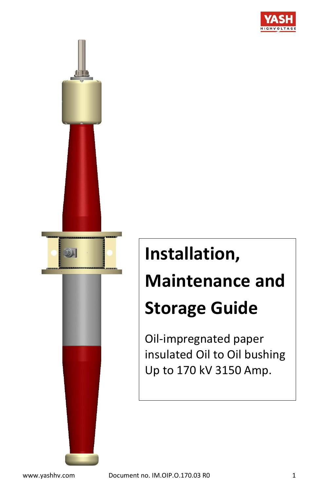

# **Installation, Maintenance and Storage Guide**

Oil-impregnated paper insulated Oil to Oil bushing Up to 170 kV 3150 Amp.

 $D_{\rm A}$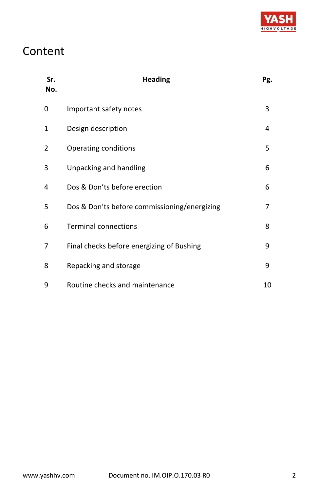

# Content

| Sr.<br>No. | <b>Heading</b>                               | Pg. |
|------------|----------------------------------------------|-----|
| 0          | Important safety notes                       | 3   |
| 1          | Design description                           | 4   |
| 2          | Operating conditions                         | 5   |
| 3          | Unpacking and handling                       | 6   |
| 4          | Dos & Don'ts before erection                 | 6   |
| 5          | Dos & Don'ts before commissioning/energizing | 7   |
| 6          | <b>Terminal connections</b>                  | 8   |
| 7          | Final checks before energizing of Bushing    | 9   |
| 8          | Repacking and storage                        | 9   |
| 9          | Routine checks and maintenance               | 10  |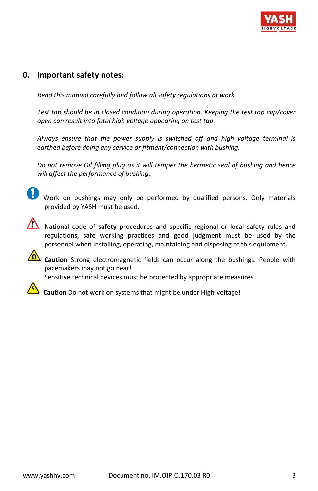

## **0. Important safety notes:**

 *Read this manual carefully and follow all safety regulations at work.*

*Test tap should be in closed condition during operation. Keeping the test tap cap/cover open can result into fatal high voltage appearing on test tap.*

*Always ensure that the power supply is switched off and high voltage terminal is earthed before doing any service or fitment/connection with bushing.*

*Do not remove Oil filling plug as it will temper the hermetic seal of bushing and hence will affect the performance of bushing.*

Work on bushings may only be performed by qualified persons. Only materials provided by YASH must be used.



National code of safety procedures and specific regional or local safety rules and regulations, safe working practices and good judgment must be used by the personnel when installing, operating, maintaining and disposing of this equipment.



**Caution** Strong electromagnetic fields can occur along the bushings. People with pacemakers may not go near!

Sensitive technical devices must be protected by appropriate measures.



 **Caution** Do not work on systems that might be under High-voltage!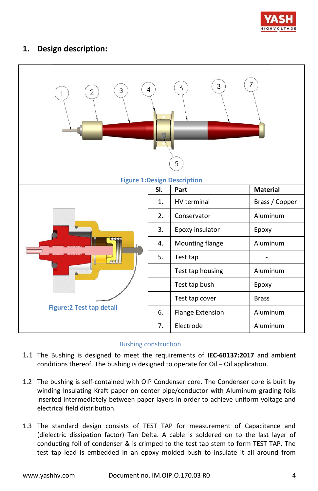

# **1. Design description:**

| 3<br>$\overline{2}$<br>1        | 4   | 3<br>6<br>5<br><b>Figure 1: Design Description</b> | 7               |
|---------------------------------|-----|----------------------------------------------------|-----------------|
|                                 | SI. | Part                                               | <b>Material</b> |
|                                 | 1.  | <b>HV</b> terminal                                 | Brass / Copper  |
|                                 | 2.  | Conservator                                        | Aluminum        |
|                                 | 3.  | Epoxy insulator                                    | Epoxy           |
|                                 | 4.  | Mounting flange                                    | Aluminum        |
| FT                              | 5.  | Test tap                                           |                 |
|                                 |     | Test tap housing                                   | Aluminum        |
|                                 |     | Test tap bush                                      | Epoxy           |
|                                 |     | Test tap cover                                     | <b>Brass</b>    |
| <b>Figure:2 Test tap detail</b> | 6.  | Flange Extension                                   | Aluminum        |
|                                 | 7.  | Electrode                                          | Aluminum        |

#### Bushing construction

- 1.1 The Bushing is designed to meet the requirements of **IEC-60137:2017** and ambient conditions thereof. The bushing is designed to operate for Oil – Oil application.
- 1.2 The bushing is self-contained with OIP Condenser core. The Condenser core is built by winding Insulating Kraft paper on center pipe/conductor with Aluminum grading foils inserted intermediately between paper layers in order to achieve uniform voltage and electrical field distribution.
- 1.3 The standard design consists of TEST TAP for measurement of Capacitance and (dielectric dissipation factor) Tan Delta. A cable is soldered on to the last layer of conducting foil of condenser & is crimped to the test tap stem to form TEST TAP. The test tap lead is embedded in an epoxy molded bush to insulate it all around from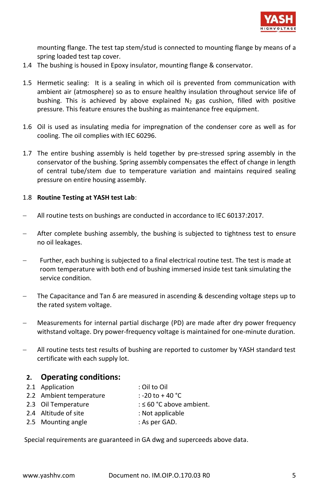

mounting flange. The test tap stem/stud is connected to mounting flange by means of a spring loaded test tap cover.

- 1.4 The bushing is housed in Epoxy insulator, mounting flange & conservator.
- 1.5 Hermetic sealing: It is a sealing in which oil is prevented from communication with ambient air (atmosphere) so as to ensure healthy insulation throughout service life of bushing. This is achieved by above explained  $N_2$  gas cushion, filled with positive pressure. This feature ensures the bushing as maintenance free equipment.
- 1.6 Oil is used as insulating media for impregnation of the condenser core as well as for cooling. The oil complies with IEC 60296.
- 1.7 The entire bushing assembly is held together by pre-stressed spring assembly in the conservator of the bushing. Spring assembly compensates the effect of change in length of central tube/stem due to temperature variation and maintains required sealing pressure on entire housing assembly.

#### 1.8 **Routine Testing at YASH test Lab**:

- − All routine tests on bushings are conducted in accordance to IEC 60137:2017.
- After complete bushing assembly, the bushing is subjected to tightness test to ensure no oil leakages.
- Further, each bushing is subjected to a final electrical routine test. The test is made at room temperature with both end of bushing immersed inside test tank simulating the service condition.
- The Capacitance and Tan  $\delta$  are measured in ascending & descending voltage steps up to the rated system voltage.
- − Measurements for internal partial discharge (PD) are made after dry power frequency withstand voltage. Dry power-frequency voltage is maintained for one-minute duration.
- − All routine tests test results of bushing are reported to customer by YASH standard test certificate with each supply lot.

#### **2. Operating conditions:**

- 2.1 Application : Oil to Oil
- 2.2 Ambient temperature : -20 to +40 °C
- 
- 2.3 Oil Temperature  $: 50 °C$  above ambient.
- 2.4 Altitude of site : Not applicable
- 2.5 Mounting angle : As per GAD.

Special requirements are guaranteed in GA dwg and superceeds above data.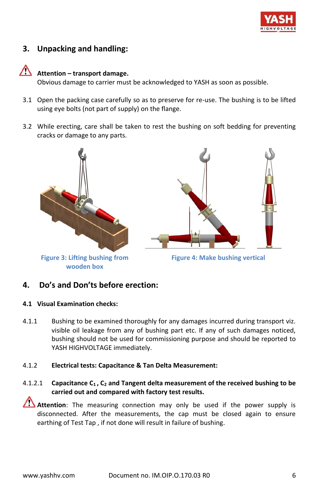

# **3. Unpacking and handling:**

# **Attention – transport damage.**

Obvious damage to carrier must be acknowledged to YASH as soon as possible.

- 3.1 Open the packing case carefully so as to preserve for re-use. The bushing is to be lifted using eye bolts (not part of supply) on the flange.
- 3.2 While erecting, care shall be taken to rest the bushing on soft bedding for preventing cracks or damage to any parts.



#### **4. Do's and Don'ts before erection:**

#### **4.1 Visual Examination checks:**

4.1.1 Bushing to be examined thoroughly for any damages incurred during transport viz. visible oil leakage from any of bushing part etc. If any of such damages noticed, bushing should not be used for commissioning purpose and should be reported to YASH HIGHVOLTAGE immediately.

#### 4.1.2 **Electrical tests: Capacitance & Tan Delta Measurement:**

4.1.2.1 **Capacitance C<sup>1</sup> , C<sup>2</sup> and Tangent delta measurement of the received bushing to be carried out and compared with factory test results.**

**Attention**: The measuring connection may only be used if the power supply is disconnected. After the measurements, the cap must be closed again to ensure earthing of Test Tap , if not done will result in failure of bushing.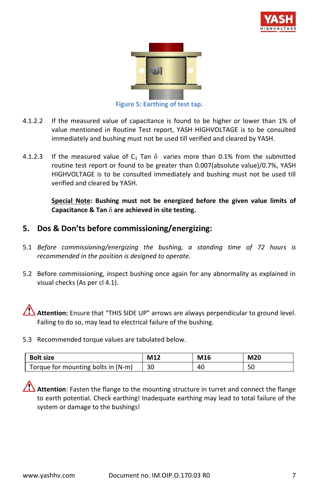



**Figure 5: Earthing of test tap.**

- 4.1.2.2 If the measured value of capacitance is found to be higher or lower than 1% of value mentioned in Routine Test report, YASH HIGHVOLTAGE is to be consulted immediately and bushing must not be used till verified and cleared by YASH.
- 4.1.2.3 If the measured value of  $C_1$  Tan  $\delta$  varies more than 0.1% from the submitted routine test report or found to be greater than 0.007(absolute value)/0.7%, YASH HIGHVOLTAGE is to be consulted immediately and bushing must not be used till verified and cleared by YASH.

**Special Note: Bushing must not be energized before the given value limits of Capacitance & Tan**  $\delta$  **are achieved in site testing.** 

# **5. Dos & Don'ts before commissioning/energizing:**

- 5.1 *Before commissioning/energizing the bushing, a standing time of 72 hours is recommended in the position is designed to operate.*
- 5.2 Before commissioning, inspect bushing once again for any abnormality as explained in visual checks (As per cl 4.1).

Attention: Ensure that "THIS SIDE UP" arrows are always perpendicular to ground level. Failing to do so, may lead to electrical failure of the bushing.

5.3 Recommended torque values are tabulated below.

| <b>Bolt size</b>                   | M12 | M16 | M20 |
|------------------------------------|-----|-----|-----|
| Torque for mounting bolts in (N-m) | 30  | 40  | 50  |

**Attention**: Fasten the flange to the mounting structure in turret and connect the flange to earth potential. Check earthing! Inadequate earthing may lead to total failure of the system or damage to the bushings!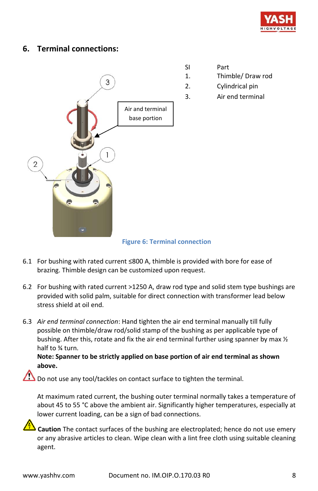

## **6. Terminal connections:**



- SI Part
- 1. Thimble/ Draw rod
- 2. Cylindrical pin
- 3. Air end terminal

 **Figure 6: Terminal connection**

- 6.1 For bushing with rated current ≤800 A, thimble is provided with bore for ease of brazing. Thimble design can be customized upon request.
- 6.2 For bushing with rated current >1250 A, draw rod type and solid stem type bushings are provided with solid palm, suitable for direct connection with transformer lead below stress shield at oil end.
- 6.3 *Air end terminal connection*: Hand tighten the air end terminal manually till fully possible on thimble/draw rod/solid stamp of the bushing as per applicable type of bushing. After this, rotate and fix the air end terminal further using spanner by max  $\frac{1}{2}$ half to ¾ turn.

#### **Note: Spanner to be strictly applied on base portion of air end terminal as shown above.**

 $\bigcirc$  Do not use any tool/tackles on contact surface to tighten the terminal.

At maximum rated current, the bushing outer terminal normally takes a temperature of about 45 to 55 °C above the ambient air. Significantly higher temperatures, especially at lower current loading, can be a sign of bad connections.

**Caution** The contact surfaces of the bushing are electroplated; hence do not use emery or any abrasive articles to clean. Wipe clean with a lint free cloth using suitable cleaning agent.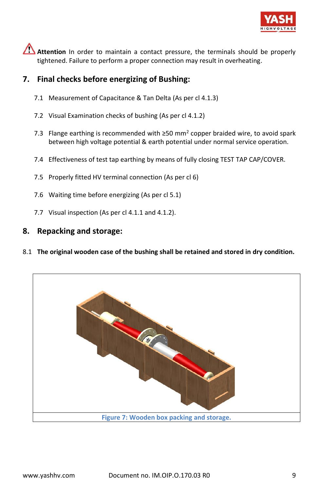

**Attention** In order to maintain a contact pressure, the terminals should be properly tightened. Failure to perform a proper connection may result in overheating.

# **7. Final checks before energizing of Bushing:**

- 7.1 Measurement of Capacitance & Tan Delta (As per cl 4.1.3)
- 7.2 Visual Examination checks of bushing (As per cl 4.1.2)
- 7.3 Flange earthing is recommended with  $\geq$ 50 mm<sup>2</sup> copper braided wire, to avoid spark between high voltage potential & earth potential under normal service operation.
- 7.4 Effectiveness of test tap earthing by means of fully closing TEST TAP CAP/COVER.
- 7.5 Properly fitted HV terminal connection (As per cl 6)
- 7.6 Waiting time before energizing (As per cl 5.1)
- 7.7 Visual inspection (As per cl 4.1.1 and 4.1.2).

## **8. Repacking and storage:**

8.1 **The original wooden case of the bushing shall be retained and stored in dry condition.**

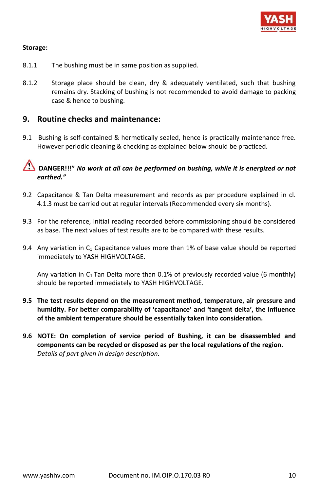

#### **Storage:**

- 8.1.1 The bushing must be in same position as supplied.
- 8.1.2 Storage place should be clean, dry & adequately ventilated, such that bushing remains dry. Stacking of bushing is not recommended to avoid damage to packing case & hence to bushing.

#### **9. Routine checks and maintenance:**

9.1 Bushing is self-contained & hermetically sealed, hence is practically maintenance free. However periodic cleaning & checking as explained below should be practiced.

# **DANGER!!!"** *No work at all can be performed on bushing, while it is energized or not earthed."*

- 9.2 Capacitance & Tan Delta measurement and records as per procedure explained in cl. 4.1.3 must be carried out at regular intervals (Recommended every six months).
- 9.3 For the reference, initial reading recorded before commissioning should be considered as base. The next values of test results are to be compared with these results.
- 9.4 Any variation in  $C_1$  Capacitance values more than 1% of base value should be reported immediately to YASH HIGHVOLTAGE.

Any variation in  $C_1$  Tan Delta more than 0.1% of previously recorded value (6 monthly) should be reported immediately to YASH HIGHVOLTAGE.

- **9.5 The test results depend on the measurement method, temperature, air pressure and humidity. For better comparability of 'capacitance' and 'tangent delta', the influence of the ambient temperature should be essentially taken into consideration.**
- **9.6 NOTE: On completion of service period of Bushing, it can be disassembled and components can be recycled or disposed as per the local regulations of the region.** *Details of part given in design description.*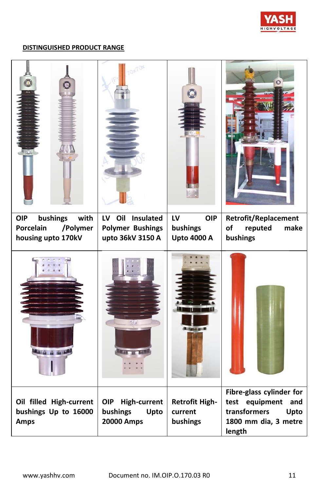

#### **DISTINGUISHED PRODUCT RANGE**

| $\bullet$<br>$\circ$                                                          | <b>DIFICIAL</b>                                                           | ○                                                  | O                                                                                                           |
|-------------------------------------------------------------------------------|---------------------------------------------------------------------------|----------------------------------------------------|-------------------------------------------------------------------------------------------------------------|
| <b>OIP</b><br>bushings<br>with<br>Porcelain<br>/Polymer<br>housing upto 170kV | Oil Insulated<br><b>LV</b><br><b>Polymer Bushings</b><br>upto 36kV 3150 A | <b>OIP</b><br>LV<br>bushings<br><b>Upto 4000 A</b> | Retrofit/Replacement<br>reputed<br>make<br>of<br>bushings                                                   |
|                                                                               |                                                                           | Tallies 67                                         |                                                                                                             |
| Oil filled High-current<br>bushings Up to 16000<br>Amps                       | <b>OIP</b><br><b>High-current</b><br>bushings<br>Upto<br>20000 Amps       | <b>Retrofit High-</b><br>current<br>bushings       | Fibre-glass cylinder for<br>test equipment<br>and<br>transformers<br>Upto<br>1800 mm dia, 3 metre<br>length |